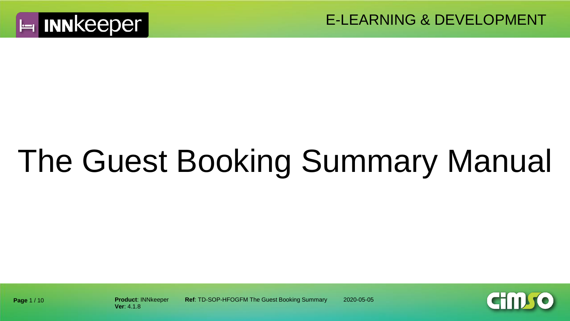

# The Guest Booking Summary Manual



**Ver**: 4.1.8

**Product**: INNkeeper **Ref**: TD-SOP-HFOGFM The Guest Booking Summary 2020-05-05

**Page** 1 / 10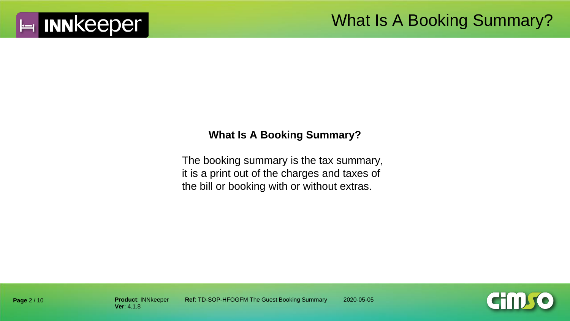

#### **What Is A Booking Summary?**

The booking summary is the tax summary, it is a print out of the charges and taxes of the bill or booking with or without extras.



**Page** 2 / 10

**Product: INNkeeper Ref: TD-SOP-HFOGFM The Guest Booking Summary 2020-05-05**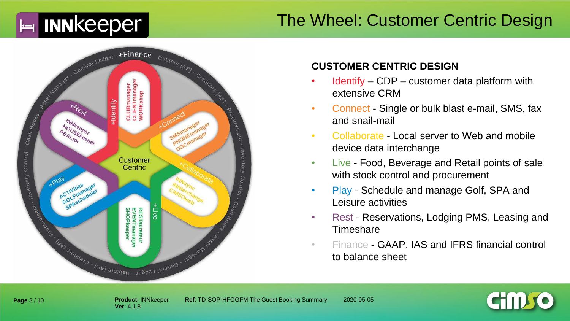#### The Wheel: Customer Centric Design



#### **CUSTOMER CENTRIC DESIGN**

- $Identity CDP customer data platform with$ extensive CRM
- Connect Single or bulk blast e-mail, SMS, fax and snail-mail
- Collaborate Local server to Web and mobile device data interchange
- Live Food, Beverage and Retail points of sale with stock control and procurement
- Play Schedule and manage Golf, SPA and Leisure activities
- Rest Reservations, Lodging PMS, Leasing and **Timeshare**
- Finance GAAP, IAS and IFRS financial control to balance sheet



**Ver**: 4.1.8

**Product**: INNkeeper **Ref**: TD-SOP-HFOGFM The Guest Booking Summary 2020-05-05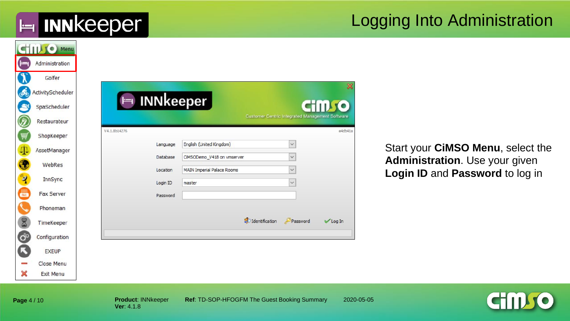#### Logging Into Administration

|     | <b>CHILLS</b> Menu |
|-----|--------------------|
| صيا | Administration     |
|     | Golfer             |
|     | ActivityScheduler  |
|     | SpaScheduler       |
|     | Restaurateur       |
|     | ShopKeeper         |
|     | AssetManager       |
|     | WebRes             |
|     |                    |
|     | <b>InnSync</b>     |
|     | Fax Server         |
|     | Phoneman           |
|     | TimeKeeper         |
|     | Configuration      |
|     | <b>EXEUP</b>       |
|     | Close Menu         |
|     | <b>Exit Menu</b>   |

Start your **CiMSO Menu**, select the **Administration**. Use your given **Login ID** and **Password** to log in

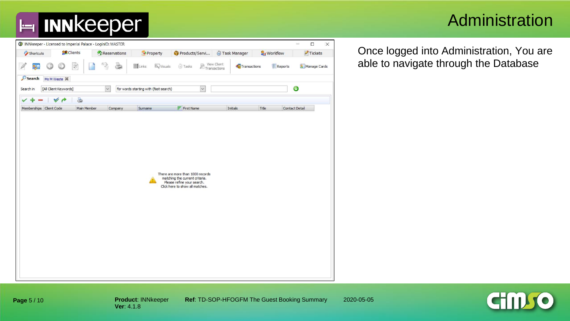### Administration

| <b>C</b> Clients        | Reservations                                                     | Property    | Products/Servi | Task Manager                                                                                                                                                                                     | <b>S</b> Workflow           | $\blacktriangleright$ Tickets |
|-------------------------|------------------------------------------------------------------|-------------|----------------|--------------------------------------------------------------------------------------------------------------------------------------------------------------------------------------------------|-----------------------------|-------------------------------|
| C)                      | C                                                                | as Links    | Tasks          |                                                                                                                                                                                                  | <b>Reports</b>              | Manage Cards                  |
|                         |                                                                  |             |                |                                                                                                                                                                                                  |                             |                               |
|                         | $\checkmark$                                                     |             | $\check{~}$    |                                                                                                                                                                                                  |                             | ⊙                             |
| 3<br>v<br>$\rightarrow$ |                                                                  |             |                |                                                                                                                                                                                                  |                             |                               |
|                         | Company                                                          | Surname     | $F$ First Name | Initials                                                                                                                                                                                         | Title                       | Contact Detail                |
|                         |                                                                  |             |                |                                                                                                                                                                                                  |                             |                               |
|                         | Ms M Weste X<br>[All Client Keywords]<br>Memberships Client Code | Main Member |                | <b>K</b> Visuals<br>for words starting with (fast search)<br>There are more than 1000 records<br>matching the current criteria.<br>Please refine your search.<br>Click here to show all matches. | View Client<br>Transactions | Transactions                  |

Once logged into Administration, You are able to navigate through the Database

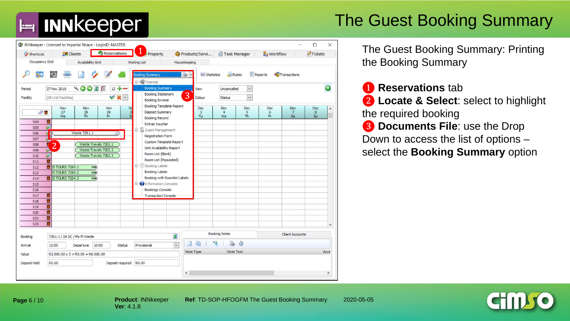

### The Guest Booking Summary



The Guest Booking Summary: Printing the Booking Summary

❶ **Reservations** tab

❷ **Locate & Select**: select to highlight the required booking **3** Documents File: use the Drop Down to access the list of options –

select the **Booking Summary** option

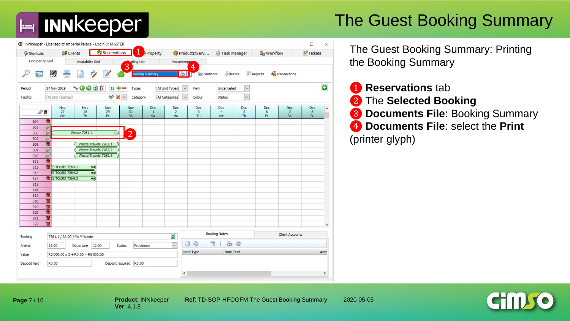

### The Guest Booking Summary

| Shortcuts                |                        | <b>SR</b> Clients                      |                        | Reservations                 |                        | Property                     |                             | Products/Servi                         |                             | Task Manager          | Workflow         |                             | Tickets        |                     |  |  |
|--------------------------|------------------------|----------------------------------------|------------------------|------------------------------|------------------------|------------------------------|-----------------------------|----------------------------------------|-----------------------------|-----------------------|------------------|-----------------------------|----------------|---------------------|--|--|
| Occupancy Grid           |                        |                                        | Availability Grid      |                              | <b>Waiting List</b>    |                              | Housekeeping                |                                        |                             |                       |                  |                             |                |                     |  |  |
|                          | 驟                      |                                        |                        |                              | 3                      | looking Summary              |                             | ♦<br><b>BI</b><br><b>XX Statistics</b> |                             | Rates                 | <b>E</b> Reports | Transactions                |                |                     |  |  |
| Period                   | 27 Nov 2019            |                                        | 4 <sub>8c</sub> 〇〇 2 間 | $12 + -$                     | Types                  |                              | [All Unit Types]            | $\checkmark$<br>View                   | Uncancelled                 | $\checkmark$          |                  |                             |                | $\bullet$           |  |  |
| Facility                 | [All Unit Facilities]  |                                        |                        | $\checkmark$<br>$\checkmark$ |                        | [All Categories]<br>Category |                             | $\checkmark$<br>Colour                 | Status                      | $\checkmark$          |                  |                             |                |                     |  |  |
| $\sigma$                 |                        | Nov<br>27<br>We                        | Nov<br>28<br><b>Th</b> | Nov<br>29<br>Fr              | Nov<br>30<br>Sa        | Dec<br>$\mathbf{1}$<br>Su    | Dec<br>$\overline{2}$<br>Mo | Dec<br>$\overline{3}$<br>Tu            | Dec<br>$\overline{4}$<br>We | Dec<br>5<br><b>Th</b> | Dec<br>6<br>Fr.  | Dec<br>$\overline{7}$<br>Sa | Dec<br>8<br>Su | $\hat{\phantom{a}}$ |  |  |
| <b>S04</b>               | 龠                      |                                        |                        |                              |                        |                              |                             |                                        |                             |                       |                  |                             |                |                     |  |  |
| <b>S05</b>               | V                      |                                        |                        |                              |                        |                              |                             |                                        |                             |                       |                  |                             |                |                     |  |  |
| S06                      | $\checkmark$           |                                        | Weste 7261.1           | Q                            | $\overline{2}$         |                              |                             |                                        |                             |                       |                  |                             |                |                     |  |  |
| <b>S07</b>               | $\mathbf{v}$<br>龠      |                                        | Weste Travels 7262.1   |                              |                        |                              |                             |                                        |                             |                       |                  |                             |                |                     |  |  |
| <b>S08</b><br><b>S09</b> | $\checkmark$           |                                        | Weste Travels 7262.2   |                              |                        |                              |                             |                                        |                             |                       |                  |                             |                |                     |  |  |
| S <sub>10</sub>          | $\sim$                 |                                        | Weste Travels 7262.3   |                              |                        |                              |                             |                                        |                             |                       |                  |                             |                |                     |  |  |
| <b>S11</b>               | û                      |                                        |                        |                              |                        |                              |                             |                                        |                             |                       |                  |                             |                |                     |  |  |
| S <sub>12</sub>          |                        | <b>T</b> ES TOURS 7264.1               | PalD)                  |                              |                        |                              |                             |                                        |                             |                       |                  |                             |                |                     |  |  |
| <b>S13</b>               |                        | <b>ES TOURS 7264.2</b>                 | PAID                   |                              |                        |                              |                             |                                        |                             |                       |                  |                             |                |                     |  |  |
| <b>S14</b>               |                        | <b>R</b> ES TOURS 7264.3               | PAID)                  |                              |                        |                              |                             |                                        |                             |                       |                  |                             |                |                     |  |  |
| <b>S15</b>               |                        |                                        |                        |                              |                        |                              |                             |                                        |                             |                       |                  |                             |                |                     |  |  |
| S <sub>16</sub>          |                        |                                        |                        |                              |                        |                              |                             |                                        |                             |                       |                  |                             |                |                     |  |  |
| <b>S17</b>               | 命                      |                                        |                        |                              |                        |                              |                             |                                        |                             |                       |                  |                             |                |                     |  |  |
| <b>S18</b><br><b>S19</b> | û<br>û                 |                                        |                        |                              |                        |                              |                             |                                        |                             |                       |                  |                             |                |                     |  |  |
| <b>S20</b>               | $\widehat{\mathbf{m}}$ |                                        |                        |                              |                        |                              |                             |                                        |                             |                       |                  |                             |                |                     |  |  |
| <b>S21</b>               | û                      |                                        |                        |                              |                        |                              |                             |                                        |                             |                       |                  |                             |                |                     |  |  |
| <b>S22</b>               | 會                      |                                        |                        |                              |                        |                              |                             |                                        |                             |                       |                  |                             |                | v                   |  |  |
| Booking                  |                        | 7261.1 / 2A OC / Ms M Weste            |                        |                              |                        |                              | ø                           |                                        | <b>Booking Notes</b>        |                       |                  | <b>Client Accounts</b>      |                |                     |  |  |
| Arrival                  | 12:00                  |                                        | Departure 10:00        |                              | Status                 | Provisional                  | $\check{~}$                 | 龟<br>n                                 | 5<br>2                      | õ                     |                  |                             |                |                     |  |  |
|                          |                        |                                        |                        |                              |                        |                              |                             | Note Type                              |                             | Note Text             |                  |                             |                | Acce                |  |  |
| Value                    |                        | $R2000.00 \times 3 + R0.00 = R6000.00$ |                        |                              |                        |                              |                             |                                        |                             |                       |                  |                             |                |                     |  |  |
| Deposit held             | R0.00                  |                                        |                        |                              | Deposit required R0.00 |                              |                             |                                        |                             |                       |                  |                             |                |                     |  |  |

The Guest Booking Summary: Printing the Booking Summary

**1 Reservations** tab ❷ The **Selected Booking 8 Documents File: Booking Summary** ❹ **Documents File**: select the **Print**  (printer glyph)



**Page** 7 / 10

**Product**: INNkeeper **Ref**: TD-SOP-HFOGFM The Guest Booking Summary 2020-05-05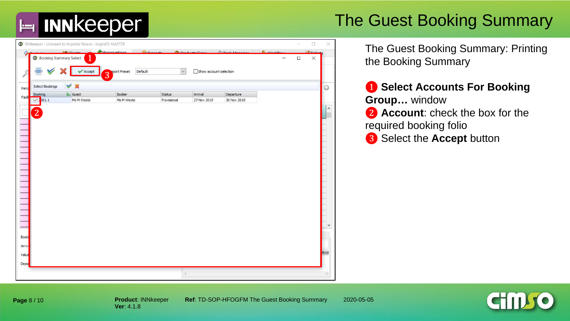#### The Guest Booking Summary

|        |                                 | INNkeeper - Licensed to Imperial Palace - LoginID: MASTER |                                |                       |                        |                          |                             |        | $\Box$                           | $\times$            |
|--------|---------------------------------|-----------------------------------------------------------|--------------------------------|-----------------------|------------------------|--------------------------|-----------------------------|--------|----------------------------------|---------------------|
| 今      | <b>G</b> Booking Summary Select | <b>CO</b> CH                                              | Reconvations<br>--             | <b>Burn</b>           | $3 -$                  | $Re$ Table 14            | $6$ $m\nu$<br>$\rightarrow$ | $\Box$ | $\frac{1}{2}$ Tickal<br>$\times$ |                     |
|        |                                 | Accept                                                    | <b>Sport Preset</b><br>Default | $\checkmark$          | Show account selection |                          |                             |        |                                  |                     |
|        |                                 |                                                           | 3                              |                       |                        |                          |                             |        |                                  |                     |
| Perio  | Select Bookings                 | $\vee$ x                                                  |                                |                       |                        |                          |                             |        |                                  | $\odot$             |
| Facil  | Booking<br>$\sqrt{7261.1}$      | $E$ Guest<br>Ms M Weste                                   | Booker<br>Ms M Weste           | Status<br>Provisional | Arrival<br>27 Nov 2019 | Departure<br>30 Nov 2019 |                             |        |                                  |                     |
|        |                                 |                                                           |                                |                       |                        |                          |                             |        |                                  | $\hat{\phantom{a}}$ |
|        | $\overline{2}$                  |                                                           |                                |                       |                        |                          |                             |        |                                  |                     |
|        |                                 |                                                           |                                |                       |                        |                          |                             |        |                                  |                     |
|        |                                 |                                                           |                                |                       |                        |                          |                             |        |                                  |                     |
|        |                                 |                                                           |                                |                       |                        |                          |                             |        |                                  |                     |
|        |                                 |                                                           |                                |                       |                        |                          |                             |        |                                  |                     |
|        |                                 |                                                           |                                |                       |                        |                          |                             |        |                                  |                     |
|        |                                 |                                                           |                                |                       |                        |                          |                             |        |                                  |                     |
|        |                                 |                                                           |                                |                       |                        |                          |                             |        |                                  |                     |
|        |                                 |                                                           |                                |                       |                        |                          |                             |        |                                  |                     |
|        |                                 |                                                           |                                |                       |                        |                          |                             |        |                                  |                     |
|        |                                 |                                                           |                                |                       |                        |                          |                             |        |                                  |                     |
|        |                                 |                                                           |                                |                       |                        |                          |                             |        |                                  |                     |
|        |                                 |                                                           |                                |                       |                        |                          |                             |        |                                  |                     |
|        |                                 |                                                           |                                |                       |                        |                          |                             |        |                                  | ٧                   |
| Booki  |                                 |                                                           |                                |                       |                        |                          |                             |        |                                  |                     |
| Arriva |                                 |                                                           |                                |                       |                        |                          |                             |        |                                  |                     |
| Value  |                                 |                                                           |                                |                       |                        |                          |                             |        |                                  | Acce                |
| Depo   |                                 |                                                           |                                |                       |                        |                          |                             |        |                                  |                     |
|        |                                 |                                                           |                                | Ł                     |                        |                          |                             |        |                                  |                     |
|        |                                 |                                                           |                                |                       |                        |                          |                             |        |                                  |                     |

The Guest Booking Summary: Printing the Booking Summary

❶ **Select Accounts For Booking Group…** window ❷ **Account**: check the box for the required booking folio ❸ Select the **Accept** button



**Page** 8 / 10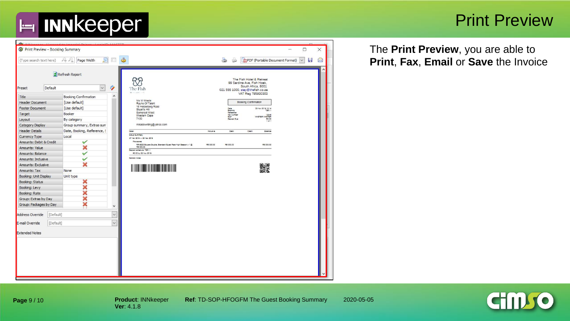

#### Print Preview

**CHM** 

| Preset                 |                                                                         |                  |                                                                                 |                  |                                    | The Fish Hotel & Retreat                         |                        |  |  |
|------------------------|-------------------------------------------------------------------------|------------------|---------------------------------------------------------------------------------|------------------|------------------------------------|--------------------------------------------------|------------------------|--|--|
|                        | Default<br>$\checkmark$                                                 | Ý,               | The Fish                                                                        |                  | 021 555 1000, stay@thefish.co.za   | 99 Sardine Ave, Fish Hoek,<br>South Africa, 8001 |                        |  |  |
| Title                  | Booking Confirmation                                                    | $\blacktriangle$ | <b>BELLER LINE</b>                                                              |                  |                                    | VAT Reg 795930303                                |                        |  |  |
| <b>Header Document</b> | [Use default]                                                           |                  | Ms M Weste                                                                      |                  | Booking Confirmation               |                                                  |                        |  |  |
| <b>Footer Document</b> | [Use default]                                                           |                  | Rayne Of Talent<br>16 Helderberg Road                                           |                  |                                    |                                                  |                        |  |  |
| Target                 | Booker                                                                  |                  | Stuart's Hill<br>Somerset West                                                  |                  | Dais<br>Socking<br>Reference       |                                                  | 25 Nov 2019 15:14      |  |  |
| Layout                 | By category                                                             |                  | Western Cape<br>7130                                                            |                  | Tax Number<br>Staff<br>Deposit Due |                                                  | MASTER MASTER<br>80.00 |  |  |
| Category Display       | Group summary, Extras sum                                               |                  | mikadowriting@yahoo.com                                                         |                  |                                    |                                                  | $1 - 1$                |  |  |
| <b>Header Details</b>  | Date, Booking, Reference, !                                             |                  | Detail                                                                          | Industry         | Debt:                              | Credit                                           | Zaisnos                |  |  |
| Currency Type          |                                                                         |                  | Group Summary                                                                   |                  |                                    |                                                  |                        |  |  |
|                        |                                                                         |                  | 27 Nov 2019 - 20 Nov 2019<br>Provisional                                        |                  |                                    |                                                  |                        |  |  |
| Amounts: Value         | Local<br>$\checkmark$<br>×<br>$\checkmark$<br>$\checkmark$<br>×<br>None |                  | RR-SCO Square Couble, Standard Guest Rate High Season : 1 @<br><b>RE 000.00</b> | <b>RE 000.00</b> | <b>RE 000.00</b>                   |                                                  | RE DOG OD              |  |  |
| Amounts: Balance       | Amounts: Debit & Credit                                                 |                  | Decost schedule: 7201.1<br>RC 00 by 25 Nov 2019                                 |                  |                                    |                                                  |                        |  |  |
| Amounts: Indusive      |                                                                         |                  | General noise                                                                   |                  |                                    |                                                  |                        |  |  |
| Amounts: Exclusive     |                                                                         |                  |                                                                                 |                  |                                    |                                                  |                        |  |  |
| Amounts: Tax           |                                                                         |                  | <b>The Community of the Community</b>                                           |                  |                                    |                                                  | 驟                      |  |  |
| Booking: Unit Display  | Unit type                                                               |                  |                                                                                 |                  |                                    |                                                  |                        |  |  |
| Booking: Status        | ×                                                                       |                  |                                                                                 |                  |                                    |                                                  |                        |  |  |
| Booking: Levy          | ×                                                                       |                  |                                                                                 |                  |                                    |                                                  |                        |  |  |
| Booking: Rate          | ×                                                                       |                  |                                                                                 |                  |                                    |                                                  |                        |  |  |
| Group: Extras by Day   | ×                                                                       |                  |                                                                                 |                  |                                    |                                                  |                        |  |  |
| Group: Packages by Day | ×                                                                       | $\checkmark$     |                                                                                 |                  |                                    |                                                  |                        |  |  |
| Address Override       | [Default]                                                               | $\checkmark$     |                                                                                 |                  |                                    |                                                  |                        |  |  |
| E-mail Override        | [Default]                                                               | $\checkmark$     |                                                                                 |                  |                                    |                                                  |                        |  |  |
|                        |                                                                         |                  |                                                                                 |                  |                                    |                                                  |                        |  |  |
| <b>Extended Notes</b>  |                                                                         |                  |                                                                                 |                  |                                    |                                                  |                        |  |  |

**Ver**: 4.1.8

The **Print Preview**, you are able to **Print**, **Fax**, **Email** or **Save** the Invoice